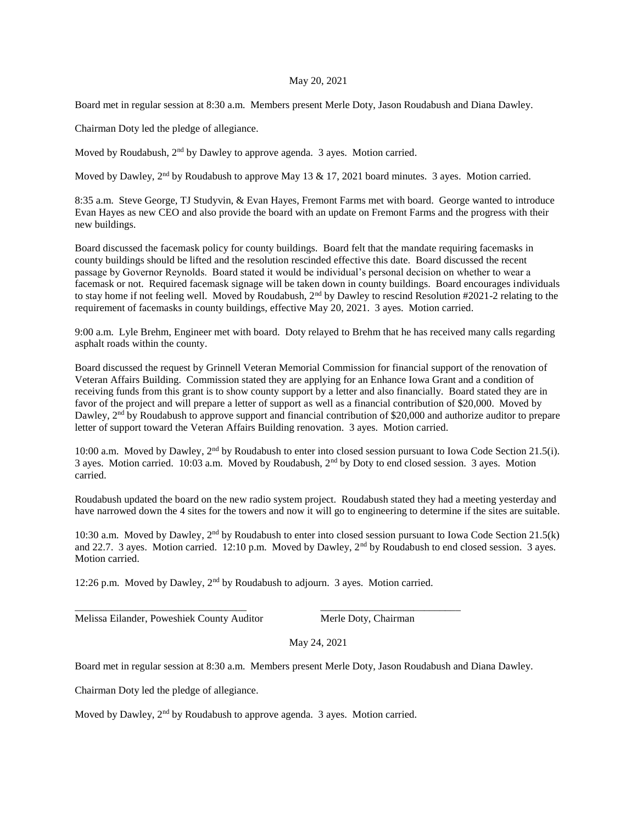## May 20, 2021

Board met in regular session at 8:30 a.m. Members present Merle Doty, Jason Roudabush and Diana Dawley.

Chairman Doty led the pledge of allegiance.

Moved by Roudabush,  $2<sup>nd</sup>$  by Dawley to approve agenda. 3 ayes. Motion carried.

Moved by Dawley,  $2<sup>nd</sup>$  by Roudabush to approve May 13 & 17, 2021 board minutes. 3 ayes. Motion carried.

8:35 a.m. Steve George, TJ Studyvin, & Evan Hayes, Fremont Farms met with board. George wanted to introduce Evan Hayes as new CEO and also provide the board with an update on Fremont Farms and the progress with their new buildings.

Board discussed the facemask policy for county buildings. Board felt that the mandate requiring facemasks in county buildings should be lifted and the resolution rescinded effective this date. Board discussed the recent passage by Governor Reynolds. Board stated it would be individual's personal decision on whether to wear a facemask or not. Required facemask signage will be taken down in county buildings. Board encourages individuals to stay home if not feeling well. Moved by Roudabush, 2<sup>nd</sup> by Dawley to rescind Resolution #2021-2 relating to the requirement of facemasks in county buildings, effective May 20, 2021. 3 ayes. Motion carried.

9:00 a.m. Lyle Brehm, Engineer met with board. Doty relayed to Brehm that he has received many calls regarding asphalt roads within the county.

Board discussed the request by Grinnell Veteran Memorial Commission for financial support of the renovation of Veteran Affairs Building. Commission stated they are applying for an Enhance Iowa Grant and a condition of receiving funds from this grant is to show county support by a letter and also financially. Board stated they are in favor of the project and will prepare a letter of support as well as a financial contribution of \$20,000. Moved by Dawley, 2<sup>nd</sup> by Roudabush to approve support and financial contribution of \$20,000 and authorize auditor to prepare letter of support toward the Veteran Affairs Building renovation. 3 ayes. Motion carried.

10:00 a.m. Moved by Dawley, 2<sup>nd</sup> by Roudabush to enter into closed session pursuant to Iowa Code Section 21.5(i). 3 ayes. Motion carried. 10:03 a.m. Moved by Roudabush, 2nd by Doty to end closed session. 3 ayes. Motion carried.

Roudabush updated the board on the new radio system project. Roudabush stated they had a meeting yesterday and have narrowed down the 4 sites for the towers and now it will go to engineering to determine if the sites are suitable.

10:30 a.m. Moved by Dawley, 2<sup>nd</sup> by Roudabush to enter into closed session pursuant to Iowa Code Section 21.5(k) and 22.7. 3 ayes. Motion carried. 12:10 p.m. Moved by Dawley,  $2<sup>nd</sup>$  by Roudabush to end closed session. 3 ayes. Motion carried.

12:26 p.m. Moved by Dawley, 2nd by Roudabush to adjourn. 3 ayes. Motion carried.

\_\_\_\_\_\_\_\_\_\_\_\_\_\_\_\_\_\_\_\_\_\_\_\_\_\_\_\_\_\_\_\_\_ \_\_\_\_\_\_\_\_\_\_\_\_\_\_\_\_\_\_\_\_\_\_\_\_\_\_\_

Melissa Eilander, Poweshiek County Auditor Merle Doty, Chairman

May 24, 2021

Board met in regular session at 8:30 a.m. Members present Merle Doty, Jason Roudabush and Diana Dawley.

Chairman Doty led the pledge of allegiance.

Moved by Dawley, 2nd by Roudabush to approve agenda. 3 ayes. Motion carried.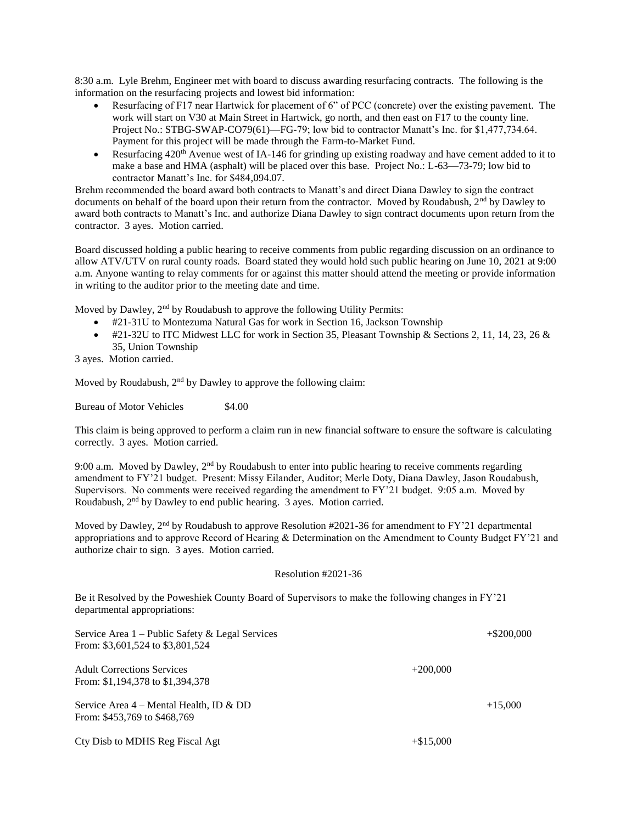8:30 a.m. Lyle Brehm, Engineer met with board to discuss awarding resurfacing contracts. The following is the information on the resurfacing projects and lowest bid information:

- Resurfacing of F17 near Hartwick for placement of 6" of PCC (concrete) over the existing pavement. The work will start on V30 at Main Street in Hartwick, go north, and then east on F17 to the county line. Project No.: STBG-SWAP-CO79(61)—FG-79; low bid to contractor Manatt's Inc. for \$1,477,734.64. Payment for this project will be made through the Farm-to-Market Fund.
- Resurfacing 420<sup>th</sup> Avenue west of IA-146 for grinding up existing roadway and have cement added to it to make a base and HMA (asphalt) will be placed over this base. Project No.: L-63—73-79; low bid to contractor Manatt's Inc. for \$484,094.07.

Brehm recommended the board award both contracts to Manatt's and direct Diana Dawley to sign the contract documents on behalf of the board upon their return from the contractor. Moved by Roudabush,  $2<sup>nd</sup>$  by Dawley to award both contracts to Manatt's Inc. and authorize Diana Dawley to sign contract documents upon return from the contractor. 3 ayes. Motion carried.

Board discussed holding a public hearing to receive comments from public regarding discussion on an ordinance to allow ATV/UTV on rural county roads. Board stated they would hold such public hearing on June 10, 2021 at 9:00 a.m. Anyone wanting to relay comments for or against this matter should attend the meeting or provide information in writing to the auditor prior to the meeting date and time.

Moved by Dawley, 2<sup>nd</sup> by Roudabush to approve the following Utility Permits:

- #21-31U to Montezuma Natural Gas for work in Section 16, Jackson Township
- $\bullet$  #21-32U to ITC Midwest LLC for work in Section 35, Pleasant Township & Sections 2, 11, 14, 23, 26 & 35, Union Township

3 ayes. Motion carried.

Moved by Roudabush,  $2<sup>nd</sup>$  by Dawley to approve the following claim:

Bureau of Motor Vehicles \$4.00

This claim is being approved to perform a claim run in new financial software to ensure the software is calculating correctly. 3 ayes. Motion carried.

9:00 a.m. Moved by Dawley,  $2<sup>nd</sup>$  by Roudabush to enter into public hearing to receive comments regarding amendment to FY'21 budget. Present: Missy Eilander, Auditor; Merle Doty, Diana Dawley, Jason Roudabush, Supervisors. No comments were received regarding the amendment to FY'21 budget. 9:05 a.m. Moved by Roudabush, 2nd by Dawley to end public hearing. 3 ayes. Motion carried.

Moved by Dawley,  $2<sup>nd</sup>$  by Roudabush to approve Resolution #2021-36 for amendment to FY'21 departmental appropriations and to approve Record of Hearing & Determination on the Amendment to County Budget FY'21 and authorize chair to sign. 3 ayes. Motion carried.

## Resolution #2021-36

Be it Resolved by the Poweshiek County Board of Supervisors to make the following changes in FY'21 departmental appropriations:

| Service Area $1$ – Public Safety & Legal Services<br>From: \$3,601,524 to \$3,801,524 |             | $+$ \$200,000 |
|---------------------------------------------------------------------------------------|-------------|---------------|
| <b>Adult Corrections Services</b><br>From: \$1,194,378 to \$1,394,378                 | $+200,000$  |               |
| Service Area $4$ – Mental Health, ID & DD<br>From: \$453,769 to \$468,769             |             | $+15,000$     |
| Cty Disb to MDHS Reg Fiscal Agt                                                       | $+\$15,000$ |               |